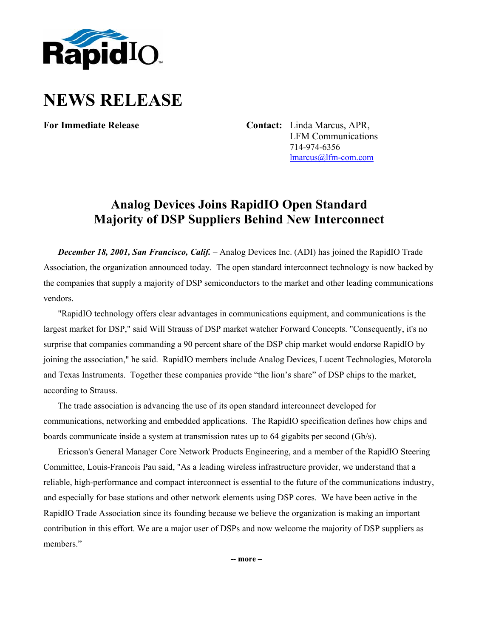

## **NEWS RELEASE**

**For Immediate Release Contact:** Linda Marcus, APR, LFM Communications 714-974-6356 [lmarcus@lfm-com.com](mailto:lmarcus@lfm-com.com)

## **Analog Devices Joins RapidIO Open Standard Majority of DSP Suppliers Behind New Interconnect**

*December 18, 2001, San Francisco, Calif.* – Analog Devices Inc. (ADI) has joined the RapidIO Trade Association, the organization announced today. The open standard interconnect technology is now backed by the companies that supply a majority of DSP semiconductors to the market and other leading communications vendors.

"RapidIO technology offers clear advantages in communications equipment, and communications is the largest market for DSP," said Will Strauss of DSP market watcher Forward Concepts. "Consequently, it's no surprise that companies commanding a 90 percent share of the DSP chip market would endorse RapidIO by joining the association," he said. RapidIO members include Analog Devices, Lucent Technologies, Motorola and Texas Instruments. Together these companies provide "the lion's share" of DSP chips to the market, according to Strauss.

The trade association is advancing the use of its open standard interconnect developed for communications, networking and embedded applications. The RapidIO specification defines how chips and boards communicate inside a system at transmission rates up to 64 gigabits per second (Gb/s).

Ericsson's General Manager Core Network Products Engineering, and a member of the RapidIO Steering Committee, Louis-Francois Pau said, "As a leading wireless infrastructure provider, we understand that a reliable, high-performance and compact interconnect is essential to the future of the communications industry, and especially for base stations and other network elements using DSP cores. We have been active in the RapidIO Trade Association since its founding because we believe the organization is making an important contribution in this effort. We are a major user of DSPs and now welcome the majority of DSP suppliers as members."

**-- more –**